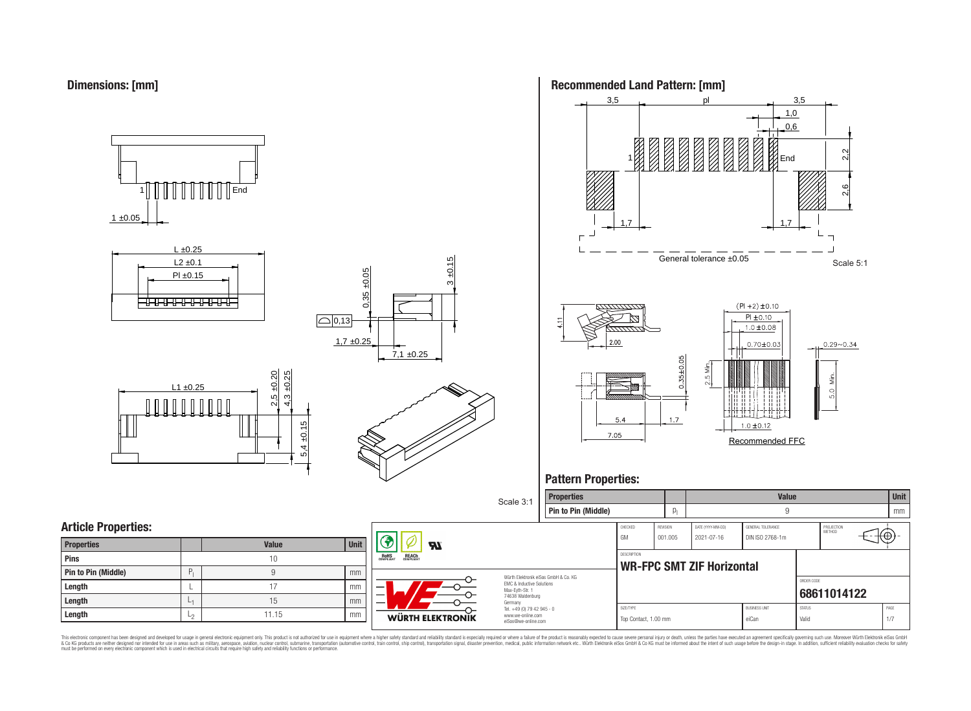















## **Pattern Properties:**



This electronic component has been designed and developed for usage in general electronic equipment only. This product is not authorized for use in equipment where a higher safely standard and reliability standard si espec & Ook product a label and the membed of the seasuch as marked and as which such a membed and the such assume that income in the seasuch and the simulation and the such assume that include to the such a membed and the such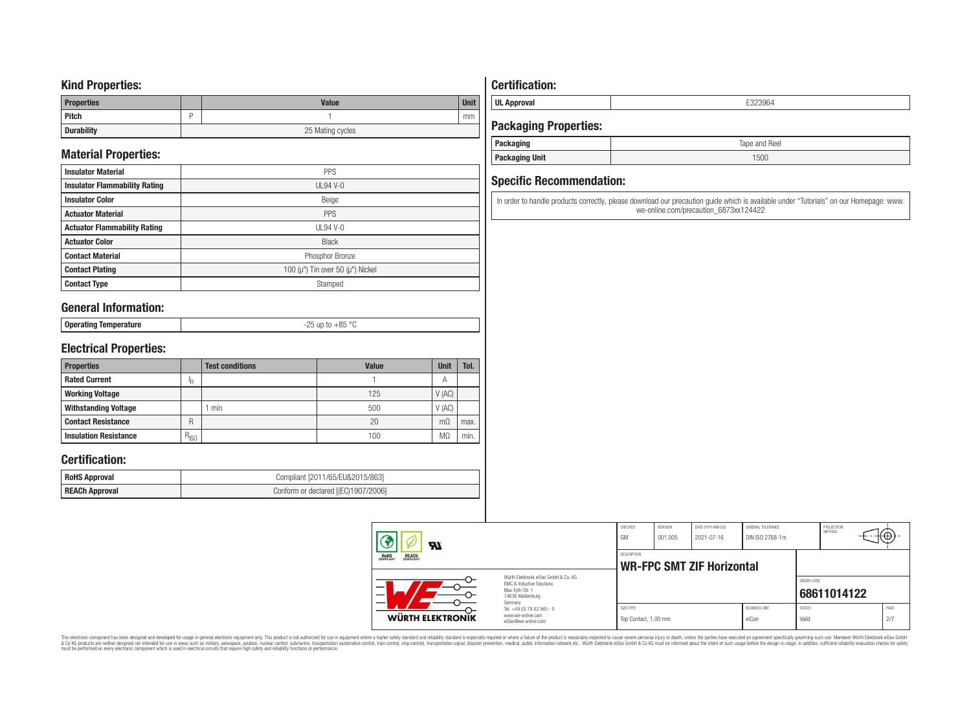### **Kind Properties:**

| <b>Properties</b> |   | <b>Value</b>     | <b>Unit</b> |  |  |
|-------------------|---|------------------|-------------|--|--|
| Pitch             | - |                  | mm          |  |  |
| <b>Durability</b> |   | 25 Mating cycles |             |  |  |

## **Material Properties:**

| <b>Insulator Material</b>            | <b>PPS</b>                                   |
|--------------------------------------|----------------------------------------------|
| <b>Insulator Flammability Rating</b> | $UL94V-0$                                    |
| <b>Insulator Color</b>               | Beige                                        |
| <b>Actuator Material</b>             | PPS                                          |
| <b>Actuator Flammability Rating</b>  | $UL94$ V-0                                   |
| <b>Actuator Color</b>                | <b>Black</b>                                 |
| <b>Contact Material</b>              | Phosphor Bronze                              |
| <b>Contact Plating</b>               | 100 ( $\mu$ ") Tin over 50 ( $\mu$ ") Nickel |
| <b>Contact Type</b>                  | Stamped                                      |

### **General Information:**

| <b>Onera</b><br>օրասաց | 95°<br>$  -$<br>. |
|------------------------|-------------------|
|                        |                   |

## **Electrical Properties:**

| <b>Properties</b>            |           | <b>Test conditions</b> | <b>Value</b> | <b>Unit</b> | Tol. |
|------------------------------|-----------|------------------------|--------------|-------------|------|
| <b>Rated Current</b>         | ΙŖ        |                        |              | А           |      |
| <b>Working Voltage</b>       |           |                        | 125          | V(AC)       |      |
| <b>Withstanding Voltage</b>  |           | min                    | 500          | V(AC)       |      |
| <b>Contact Resistance</b>    | R         |                        | 20           | $m\Omega$   | max. |
| <b>Insulation Resistance</b> | $R_{ISO}$ |                        | 100          | MΩ          | min. |

### **Certification:**

| <b>RoHS Approval</b>  | Compliant [2011/65/EU&2015/863]     |
|-----------------------|-------------------------------------|
| <b>REACh Approval</b> | Conform or declared [(EC)1907/2006] |

## **Certification:**

**UL Approval** E323964

## **Packaging Properties:**

| rackaging             | Tape and Reel |
|-----------------------|---------------|
| <b>Packaging Unit</b> | 1500          |

### **Specific Recommendation:**

In order to handle products correctly, please download our precaution guide which is available under "Tutorials" on our Homepage: www. we-online.com/precaution\_6873xx124422

|                                                | Яl                      |                                                                                                                     | CHECKED<br><b>GM</b>              | REVISION<br>001.005 | DATE (YYYY-MM-DD)<br>2021-07-16 | <b>GENERAL TOLERANCE</b><br>DIN ISO 2768-1m |                        | PROJECTION<br><b>METHOD</b> | $\mathfrak{g}(\Theta)$ |  |
|------------------------------------------------|-------------------------|---------------------------------------------------------------------------------------------------------------------|-----------------------------------|---------------------|---------------------------------|---------------------------------------------|------------------------|-----------------------------|------------------------|--|
| <b>REACH</b><br>COMPLIANT<br>ROHS<br>COMPLIANT |                         | DESCRIPTION<br><b>WR-FPC SMT ZIF Horizontal</b>                                                                     |                                   |                     |                                 |                                             |                        |                             |                        |  |
|                                                | —                       | Würth Elektronik eiSos GmbH & Co. KG<br>FMC & Inductive Solutions<br>Max-Evth-Str. 1<br>74638 Waldenburg<br>Germany |                                   |                     |                                 |                                             | ORDER CODE             | 68611014122                 |                        |  |
|                                                | <b>WÜRTH ELEKTRONIK</b> | Tel. +49 (0) 79 42 945 - 0<br>www.we-online.com<br>eiSos@we-online.com                                              | SIZE/TYPE<br>Top Contact, 1.00 mm |                     |                                 | <b>BLISINESS LINIT</b><br>eiCan             | <b>STATUS</b><br>Valid |                             | PAGE<br>2/7            |  |

This electronic component has been designed and developed for usage in general electronic equipment only. This product is not authorized for subserved requipment where a higher selection equipment where a higher selection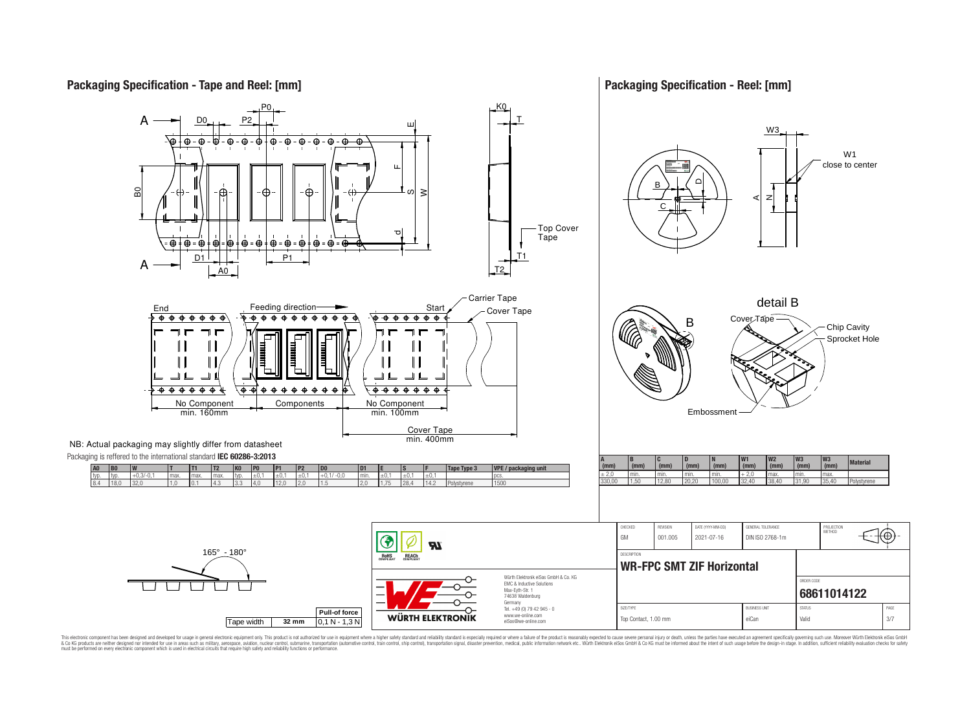## **Packaging Specification - Tape and Reel: [mm]**

### **Packaging Specification - Reel: [mm]**



This electronic component has been designed and developed for usage in general electronic equipment only. This product is not authorized for use in equipment where a higher safely standard and reliability standard si espec & Ook product a label and the membed of the seasuch as marked and as which such a membed and the such assume that income in the seasuch and the simulation and the such assume that include to the such a membed and the such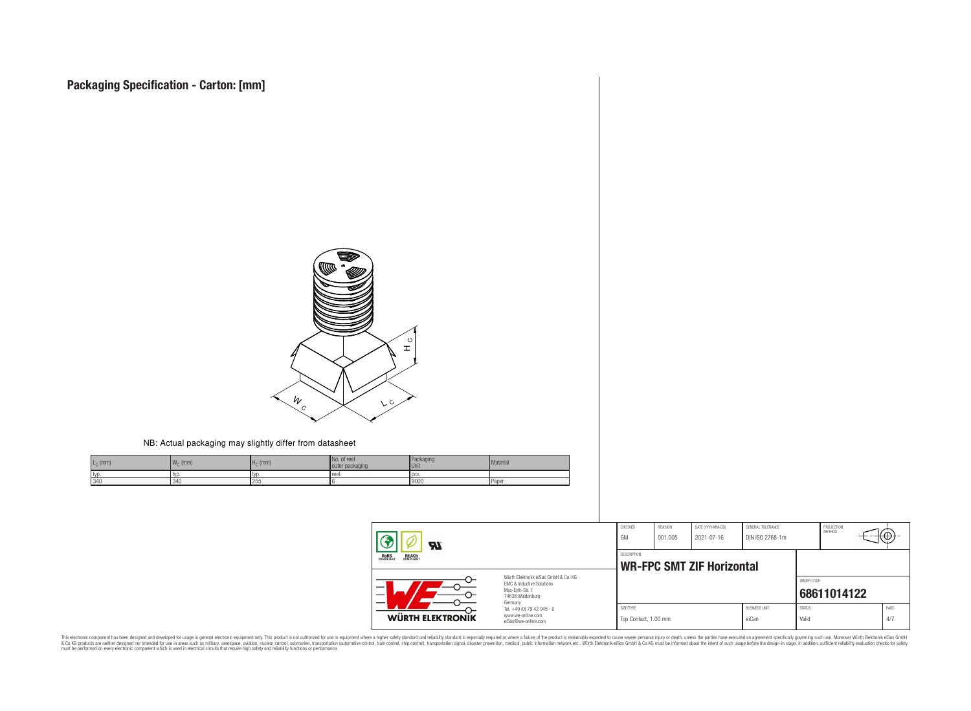

#### NB: Actual packaging may slightly differ from datasheet

| $L_{\odot}$ (mm) | 1141<br>$W_{\cap}$ (mm) | $H_C$ (mm) | No. of reel<br>outer packaging | Packaging<br><b>Unit</b> | Material |
|------------------|-------------------------|------------|--------------------------------|--------------------------|----------|
| I typ.           | I LVD                   | l tvo      | reel.                          | l DCS                    |          |
| 340              | l 340                   | 255        |                                | 9000                     | l Paper  |

| Яī                                                                                                                                              |                                                                        | CHECKED<br>GM                                   | REVISION<br>001.005 | DATE (YYYY-MM-DD)<br>2021-07-16 | GENERAL TOLERANCE<br>DIN ISO 2768-1m |                        | PROJECTION<br>METHOD | τΨ |             |
|-------------------------------------------------------------------------------------------------------------------------------------------------|------------------------------------------------------------------------|-------------------------------------------------|---------------------|---------------------------------|--------------------------------------|------------------------|----------------------|----|-------------|
| <b>ROHS</b><br>COMPLIANT<br><b>REACH</b><br>COMPLIANT                                                                                           |                                                                        | DESCRIPTION<br><b>WR-FPC SMT ZIF Horizontal</b> |                     |                                 |                                      |                        |                      |    |             |
| Würth Elektronik eiSos GmbH & Co. KG<br>FMC & Inductive Solutions<br>Max-Eyth-Str. 1<br>$\overline{\phantom{0}}$<br>74638 Waldenburg<br>Germany |                                                                        |                                                 |                     |                                 |                                      | ORDER CODE             | 68611014122          |    |             |
| WÜRTH ELEKTRONIK                                                                                                                                | Tel. +49 (0) 79 42 945 - 0<br>www.we-online.com<br>eiSos@we-online.com | SIZE/TYPE<br>Top Contact, 1.00 mm               |                     |                                 | <b>BUSINESS UNIT</b><br>eiCan        | <b>STATUS</b><br>Valid |                      |    | PAGE<br>4/7 |

This electronic component has been designed and developed for usage in general electronic equipment only. This product is not authorized for subserved requipment where a higher selection equipment where a higher selection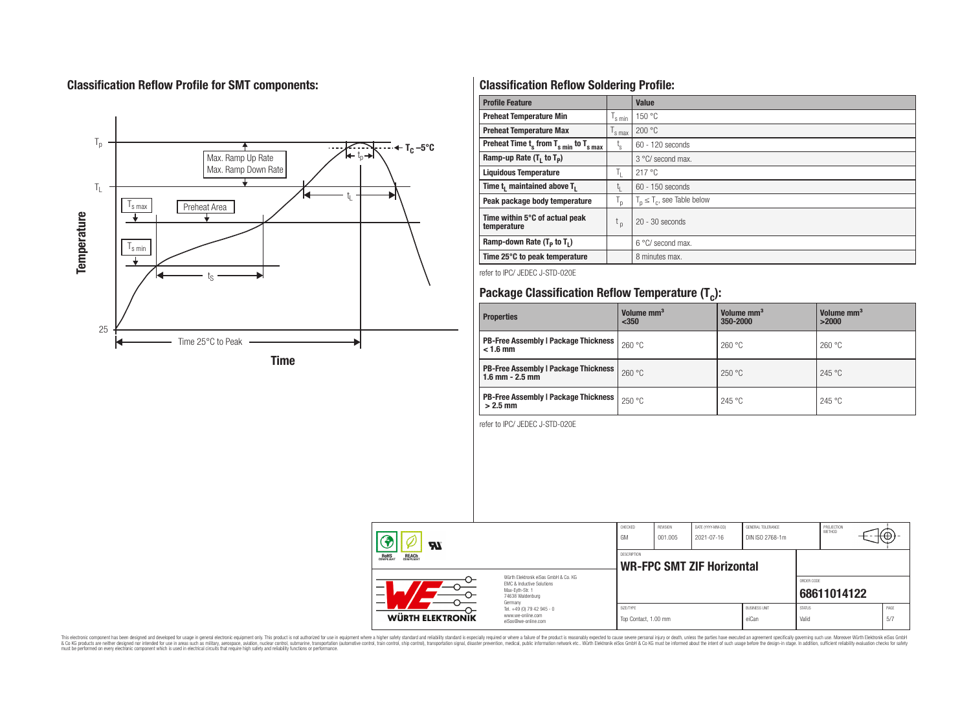## **Classification Reflow Profile for SMT components:**



## **Classification Reflow Soldering Profile:**

| <b>Profile Feature</b>                              |                               | Value                            |
|-----------------------------------------------------|-------------------------------|----------------------------------|
| <b>Preheat Temperature Min</b>                      | 's min                        | 150 °C                           |
| <b>Preheat Temperature Max</b>                      | $\frac{1}{s}$ max             | 200 °C                           |
| Preheat Time $t_s$ from $T_{s min}$ to $T_{s max}$  | t,                            | 60 - 120 seconds                 |
| Ramp-up Rate $(T_1$ to $T_p$ )                      |                               | 3 °C/ second max.                |
| <b>Liquidous Temperature</b>                        | ъ.                            | 217 °C                           |
| Time t <sub>i</sub> maintained above T <sub>1</sub> | t,                            | $60 - 150$ seconds               |
| Peak package body temperature                       | T <sub>o</sub>                | $T_p \leq T_c$ , see Table below |
| Time within 5°C of actual peak<br>temperature       | $\mathfrak{c}_{\mathfrak{p}}$ | $20 - 30$ seconds                |
| Ramp-down Rate $(T_p$ to $T_1$ )                    |                               | $6^{\circ}$ C/ second max.       |
| Time 25°C to peak temperature                       |                               | 8 minutes max.                   |

refer to IPC/ JEDEC J-STD-020E

# **Package Classification Reflow Temperature (T<sup>c</sup> ):**

| <b>Properties</b>                                                    | Volume mm <sup>3</sup><br>$350$ | Volume mm <sup>3</sup><br>350-2000 | Volume mm <sup>3</sup><br>>2000 |
|----------------------------------------------------------------------|---------------------------------|------------------------------------|---------------------------------|
| <b>PB-Free Assembly   Package Thickness</b><br>$< 1.6$ mm            | 260 °C                          | 260 °C                             | 260 °C                          |
| <b>PB-Free Assembly   Package Thickness  </b><br>$1.6$ mm $- 2.5$ mm | 260 °C                          | 250 °C                             | 245 °C                          |
| <b>PB-Free Assembly   Package Thickness  </b><br>$>2.5$ mm           | 250 °C                          | 245 °C                             | 245 °C                          |

refer to IPC/ JEDEC J-STD-020E

| Яī                                                                                                                  |                                                                        | CHECKED<br>GM                     | REVISION<br>001.005 | DATE (YYYY-MM-DD)<br>2021-07-16  | GENERAL TOLERANCE<br>DIN ISO 2768-1m |                        | PROJECTION<br><b>METHOD</b> |             |
|---------------------------------------------------------------------------------------------------------------------|------------------------------------------------------------------------|-----------------------------------|---------------------|----------------------------------|--------------------------------------|------------------------|-----------------------------|-------------|
| ROHS<br>COMPLIANT<br><b>REACH</b><br>COMPLIANT                                                                      |                                                                        | <b>DESCRIPTION</b>                |                     | <b>WR-FPC SMT ZIF Horizontal</b> |                                      |                        |                             |             |
| Würth Elektronik eiSos GmbH & Co. KG<br>EMC & Inductive Solutions<br>Max-Evth-Str. 1<br>74638 Waldenburg<br>Germany |                                                                        |                                   |                     |                                  |                                      | ORDER CODE             | 68611014122                 |             |
| <b>WÜRTH ELEKTRONIK</b>                                                                                             | Tel. +49 (0) 79 42 945 - 0<br>www.we-online.com<br>eiSos@we-online.com | SIZE/TYPE<br>Top Contact, 1.00 mm |                     |                                  | <b>BUSINESS UNIT</b><br>eiCan        | <b>STATUS</b><br>Valid |                             | PAGE<br>5/7 |

This electronic component has been designed and developed for usage in general electronic equipment only. This product is not authorized for subserved requipment where a higher selection equipment where a higher selection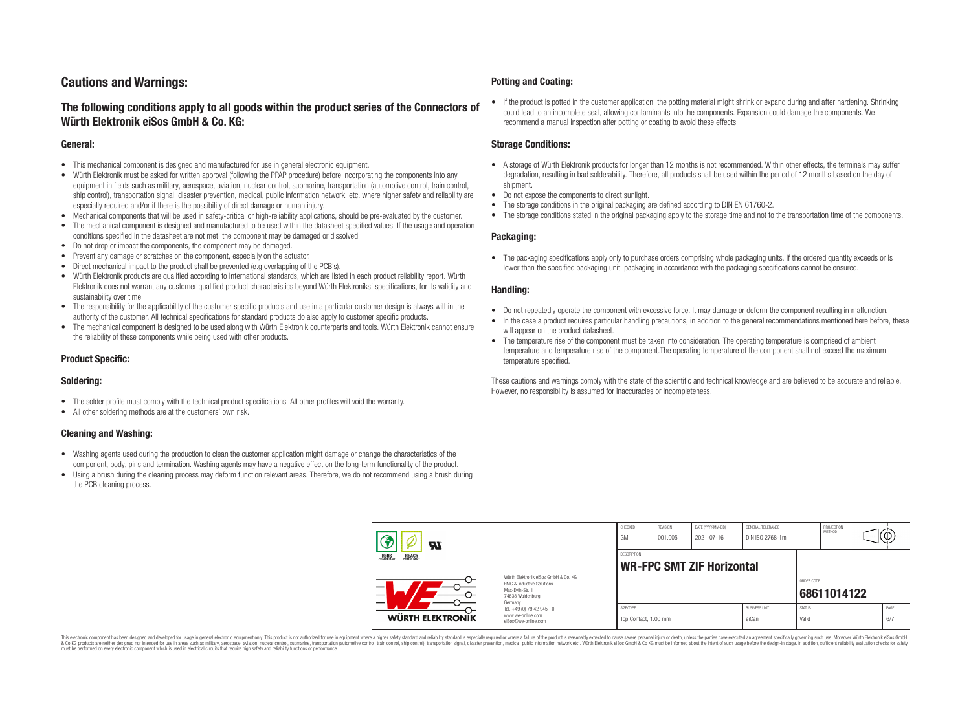## **Cautions and Warnings:**

### **The following conditions apply to all goods within the product series of the Connectors of Würth Elektronik eiSos GmbH & Co. KG:**

#### **General:**

- This mechanical component is designed and manufactured for use in general electronic equipment.
- Würth Elektronik must be asked for written approval (following the PPAP procedure) before incorporating the components into any equipment in fields such as military, aerospace, aviation, nuclear control, submarine, transportation (automotive control, train control, ship control), transportation signal, disaster prevention, medical, public information network, etc. where higher safety and reliability are especially required and/or if there is the possibility of direct damage or human injury.
- Mechanical components that will be used in safety-critical or high-reliability applications, should be pre-evaluated by the customer.
- The mechanical component is designed and manufactured to be used within the datasheet specified values. If the usage and operation conditions specified in the datasheet are not met, the component may be damaged or dissolved.
- Do not drop or impact the components, the component may be damaged.
- Prevent any damage or scratches on the component, especially on the actuator.
- Direct mechanical impact to the product shall be prevented (e.g overlapping of the PCB's).
- Würth Elektronik products are qualified according to international standards, which are listed in each product reliability report. Würth Elektronik does not warrant any customer qualified product characteristics beyond Würth Elektroniks' specifications, for its validity and sustainability over time.
- The responsibility for the applicability of the customer specific products and use in a particular customer design is always within the authority of the customer. All technical specifications for standard products do also apply to customer specific products.
- The mechanical component is designed to be used along with Würth Elektronik counterparts and tools. Würth Elektronik cannot ensure the reliability of these components while being used with other products.

#### **Product Specific:**

#### **Soldering:**

- The solder profile must comply with the technical product specifications. All other profiles will void the warranty.
- All other soldering methods are at the customers' own risk.

#### **Cleaning and Washing:**

- Washing agents used during the production to clean the customer application might damage or change the characteristics of the component, body, pins and termination. Washing agents may have a negative effect on the long-term functionality of the product.
- Using a brush during the cleaning process may deform function relevant areas. Therefore, we do not recommend using a brush during the PCB cleaning process.

#### **Potting and Coating:**

• If the product is potted in the customer application, the potting material might shrink or expand during and after hardening. Shrinking could lead to an incomplete seal, allowing contaminants into the components. Expansion could damage the components. We recommend a manual inspection after potting or coating to avoid these effects.

#### **Storage Conditions:**

- A storage of Würth Elektronik products for longer than 12 months is not recommended. Within other effects, the terminals may suffer degradation, resulting in bad solderability. Therefore, all products shall be used within the period of 12 months based on the day of shipment.
- Do not expose the components to direct sunlight.
- The storage conditions in the original packaging are defined according to DIN EN 61760-2.
- The storage conditions stated in the original packaging apply to the storage time and not to the transportation time of the components.

#### **Packaging:**

• The packaging specifications apply only to purchase orders comprising whole packaging units. If the ordered quantity exceeds or is lower than the specified packaging unit, packaging in accordance with the packaging specifications cannot be ensured.

#### **Handling:**

- Do not repeatedly operate the component with excessive force. It may damage or deform the component resulting in malfunction.
- In the case a product requires particular handling precautions, in addition to the general recommendations mentioned here before, these will appear on the product datasheet
- The temperature rise of the component must be taken into consideration. The operating temperature is comprised of ambient temperature and temperature rise of the component.The operating temperature of the component shall not exceed the maximum temperature specified.

These cautions and warnings comply with the state of the scientific and technical knowledge and are believed to be accurate and reliable. However, no responsibility is assumed for inaccuracies or incompleteness.

| $\boldsymbol{\mathcal{H}}$                                                                                                                                      |                                                                                   | CHECKED<br>GM                                          | REVISION<br>001.005 | DATE (YYYY-MM-DD)<br>2021-07-16 | GENERAL TOLERANCE<br>DIN ISO 2768-1m |                        | PROJECTION<br><b>METHOD</b> |  | ι€Ψ         |
|-----------------------------------------------------------------------------------------------------------------------------------------------------------------|-----------------------------------------------------------------------------------|--------------------------------------------------------|---------------------|---------------------------------|--------------------------------------|------------------------|-----------------------------|--|-------------|
| ROHS<br>COMPLIANT<br><b>REACH</b><br>COMPLIANT<br>Würth Elektronik eiSos GmbH & Co. KG<br>EMC & Inductive Solutions<br>–<br>Max-Evth-Str. 1<br>74638 Waldenburg |                                                                                   | <b>DESCRIPTION</b><br><b>WR-FPC SMT ZIF Horizontal</b> |                     |                                 |                                      |                        |                             |  |             |
|                                                                                                                                                                 |                                                                                   |                                                        |                     |                                 |                                      |                        | ORDER CODE<br>68611014122   |  |             |
| WÜRTH ELEKTRONIK                                                                                                                                                | Germany<br>Tel. +49 (0) 79 42 945 - 0<br>www.we-online.com<br>eiSos@we-online.com | SIZE/TYPE<br>Top Contact, 1.00 mm                      |                     |                                 | <b>BUSINESS UNIT</b><br>eiCan        | <b>STATUS</b><br>Valid |                             |  | PAGE<br>6/7 |

This electronic component has been designed and developed for usage in general electronic equipment only. This product is not authorized for use in equipment where a higher safety standard and reliability standard si espec & Ook product a label and the membed of the seasuch as marked and as which such a membed and the such assume that income in the seasuch and the simulation and the such assume that include to the such a membed and the such